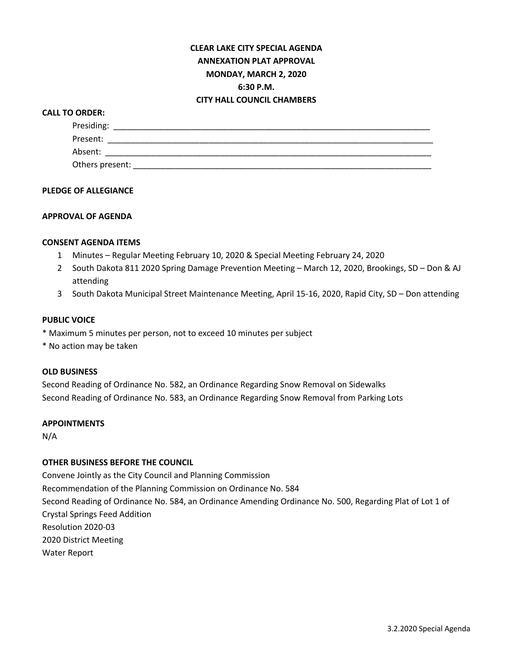# **CLEAR LAKE CITY SPECIAL AGENDA ANNEXATION PLAT APPROVAL MONDAY, MARCH 2, 2020 6:30 P.M. CITY HALL COUNCIL CHAMBERS**

### **CALL TO ORDER:**

| Presiding:      |  |  |  |
|-----------------|--|--|--|
| Present:        |  |  |  |
| Absent:         |  |  |  |
| Others present: |  |  |  |

### **PLEDGE OF ALLEGIANCE**

## **APPROVAL OF AGENDA**

#### **CONSENT AGENDA ITEMS**

- 1 Minutes Regular Meeting February 10, 2020 & Special Meeting February 24, 2020
- 2 South Dakota 811 2020 Spring Damage Prevention Meeting March 12, 2020, Brookings, SD Don & AJ attending
- 3 South Dakota Municipal Street Maintenance Meeting, April 15-16, 2020, Rapid City, SD Don attending

### **PUBLIC VOICE**

- \* Maximum 5 minutes per person, not to exceed 10 minutes per subject
- \* No action may be taken

#### **OLD BUSINESS**

Second Reading of Ordinance No. 582, an Ordinance Regarding Snow Removal on Sidewalks Second Reading of Ordinance No. 583, an Ordinance Regarding Snow Removal from Parking Lots

#### **APPOINTMENTS**

N/A

### **OTHER BUSINESS BEFORE THE COUNCIL**

Convene Jointly as the City Council and Planning Commission Recommendation of the Planning Commission on Ordinance No. 584 Second Reading of Ordinance No. 584, an Ordinance Amending Ordinance No. 500, Regarding Plat of Lot 1 of Crystal Springs Feed Addition Resolution 2020-03 2020 District Meeting Water Report